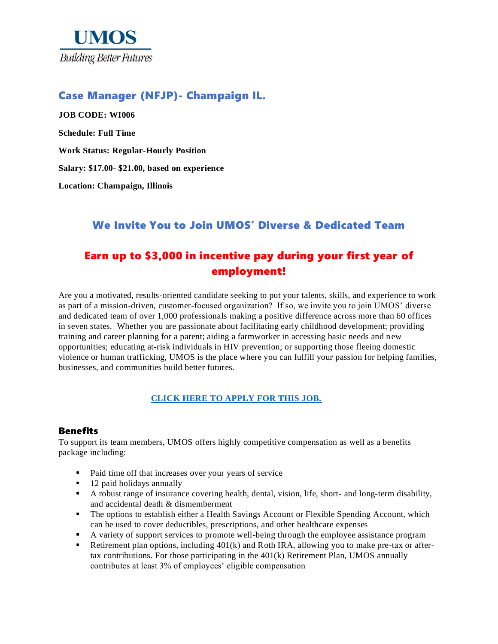

## Case Manager (NFJP)- Champaign IL.

**JOB CODE: WI006 Schedule: Full Time Work Status: Regular-Hourly Position Salary: \$17.00- \$21.00, based on experience Location: Champaign, Illinois**

## We Invite You to Join UMOS' Diverse & Dedicated Team

# Earn up to \$3,000 in incentive pay during your first year of employment!

Are you a motivated, results-oriented candidate seeking to put your talents, skills, and experience to work as part of a mission-driven, customer-focused organization? If so, we invite you to join UMOS' diverse and dedicated team of over 1,000 professionals making a positive difference across more than 60 offices in seven states. Whether you are passionate about facilitating early childhood development; providing training and career planning for a parent; aiding a farmworker in accessing basic needs and new opportunities; educating at-risk individuals in HIV prevention; or supporting those fleeing domestic violence or human trafficking, UMOS is the place where you can fulfill your passion for helping families, businesses, and communities build better futures.

## **[CLICK HERE TO APPLY FOR THIS JOB.](https://www.umos.org/job-application/)**

## **Benefits**

To support its team members, UMOS offers highly competitive compensation as well as a benefits package including:

- Paid time off that increases over your years of service
- 12 paid holidays annually
- A robust range of insurance covering health, dental, vision, life, short- and long-term disability, and accidental death & dismemberment
- The options to establish either a Health Savings Account or Flexible Spending Account, which can be used to cover deductibles, prescriptions, and other healthcare expenses
- A variety of support services to promote well-being through the employee assistance program
- **•** Retirement plan options, including 401(k) and Roth IRA, allowing you to make pre-tax or aftertax contributions. For those participating in the  $401(k)$  Retirement Plan, UMOS annually contributes at least 3% of employees' eligible compensation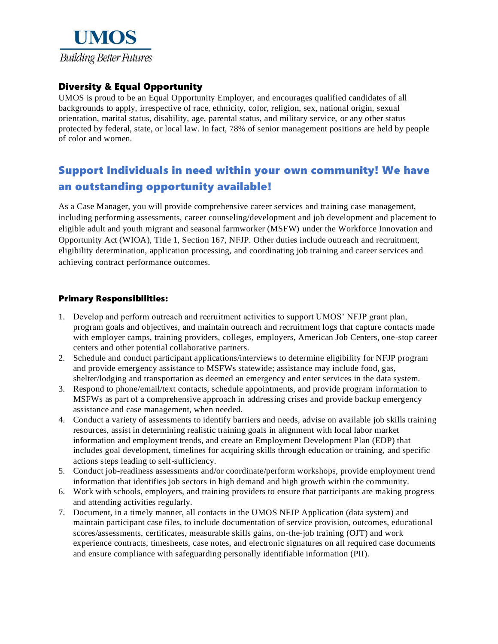

## Diversity & Equal Opportunity

UMOS is proud to be an Equal Opportunity Employer, and encourages qualified candidates of all backgrounds to apply, irrespective of race, ethnicity, color, religion, sex, national origin, sexual orientation, marital status, disability, age, parental status, and military service, or any other status protected by federal, state, or local law. In fact, 78% of senior management positions are held by people of color and women.

# Support Individuals in need within your own community! We have an outstanding opportunity available!

As a Case Manager, you will provide comprehensive career services and training case management, including performing assessments, career counseling/development and job development and placement to eligible adult and youth migrant and seasonal farmworker (MSFW) under the Workforce Innovation and Opportunity Act (WIOA), Title 1, Section 167, NFJP. Other duties include outreach and recruitment, eligibility determination, application processing, and coordinating job training and career services and achieving contract performance outcomes.

### Primary Responsibilities:

- 1. Develop and perform outreach and recruitment activities to support UMOS' NFJP grant plan, program goals and objectives, and maintain outreach and recruitment logs that capture contacts made with employer camps, training providers, colleges, employers, American Job Centers, one-stop career centers and other potential collaborative partners.
- 2. Schedule and conduct participant applications/interviews to determine eligibility for NFJP program and provide emergency assistance to MSFWs statewide; assistance may include food, gas, shelter/lodging and transportation as deemed an emergency and enter services in the data system.
- 3. Respond to phone/email/text contacts, schedule appointments, and provide program information to MSFWs as part of a comprehensive approach in addressing crises and provide backup emergency assistance and case management, when needed.
- 4. Conduct a variety of assessments to identify barriers and needs, advise on available job skills training resources, assist in determining realistic training goals in alignment with local labor market information and employment trends, and create an Employment Development Plan (EDP) that includes goal development, timelines for acquiring skills through education or training, and specific actions steps leading to self-sufficiency.
- 5. Conduct job-readiness assessments and/or coordinate/perform workshops, provide employment trend information that identifies job sectors in high demand and high growth within the community.
- 6. Work with schools, employers, and training providers to ensure that participants are making progress and attending activities regularly.
- 7. Document, in a timely manner, all contacts in the UMOS NFJP Application (data system) and maintain participant case files, to include documentation of service provision, outcomes, educational scores/assessments, certificates, measurable skills gains, on-the-job training (OJT) and work experience contracts, timesheets, case notes, and electronic signatures on all required case documents and ensure compliance with safeguarding personally identifiable information (PII).